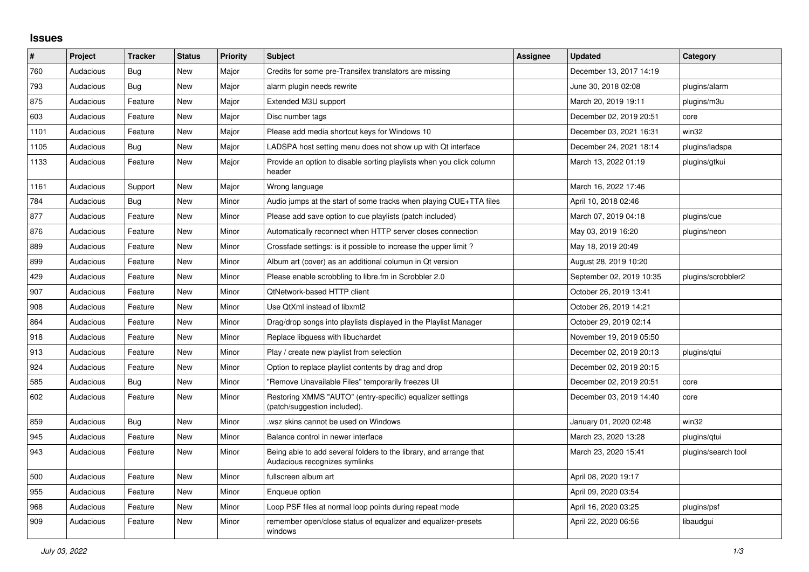## **Issues**

| ∦    | Project   | <b>Tracker</b> | <b>Status</b> | <b>Priority</b> | <b>Subject</b>                                                                                      | Assignee | <b>Updated</b>           | Category            |
|------|-----------|----------------|---------------|-----------------|-----------------------------------------------------------------------------------------------------|----------|--------------------------|---------------------|
| 760  | Audacious | Bug            | <b>New</b>    | Major           | Credits for some pre-Transifex translators are missing                                              |          | December 13, 2017 14:19  |                     |
| 793  | Audacious | Bug            | New           | Major           | alarm plugin needs rewrite                                                                          |          | June 30, 2018 02:08      | plugins/alarm       |
| 875  | Audacious | Feature        | <b>New</b>    | Major           | Extended M3U support                                                                                |          | March 20, 2019 19:11     | plugins/m3u         |
| 603  | Audacious | Feature        | New           | Major           | Disc number tags                                                                                    |          | December 02, 2019 20:51  | core                |
| 1101 | Audacious | Feature        | <b>New</b>    | Major           | Please add media shortcut keys for Windows 10                                                       |          | December 03, 2021 16:31  | win32               |
| 1105 | Audacious | Bug            | <b>New</b>    | Major           | LADSPA host setting menu does not show up with Qt interface                                         |          | December 24, 2021 18:14  | plugins/ladspa      |
| 1133 | Audacious | Feature        | New           | Major           | Provide an option to disable sorting playlists when you click column<br>header                      |          | March 13, 2022 01:19     | plugins/gtkui       |
| 1161 | Audacious | Support        | <b>New</b>    | Major           | Wrong language                                                                                      |          | March 16, 2022 17:46     |                     |
| 784  | Audacious | Bug            | New           | Minor           | Audio jumps at the start of some tracks when playing CUE+TTA files                                  |          | April 10, 2018 02:46     |                     |
| 877  | Audacious | Feature        | New           | Minor           | Please add save option to cue playlists (patch included)                                            |          | March 07, 2019 04:18     | plugins/cue         |
| 876  | Audacious | Feature        | New           | Minor           | Automatically reconnect when HTTP server closes connection                                          |          | May 03, 2019 16:20       | plugins/neon        |
| 889  | Audacious | Feature        | New           | Minor           | Crossfade settings: is it possible to increase the upper limit?                                     |          | May 18, 2019 20:49       |                     |
| 899  | Audacious | Feature        | <b>New</b>    | Minor           | Album art (cover) as an additional columun in Qt version                                            |          | August 28, 2019 10:20    |                     |
| 429  | Audacious | Feature        | <b>New</b>    | Minor           | Please enable scrobbling to libre.fm in Scrobbler 2.0                                               |          | September 02, 2019 10:35 | plugins/scrobbler2  |
| 907  | Audacious | Feature        | New           | Minor           | <b>QtNetwork-based HTTP client</b>                                                                  |          | October 26, 2019 13:41   |                     |
| 908  | Audacious | Feature        | <b>New</b>    | Minor           | Use QtXml instead of libxml2                                                                        |          | October 26, 2019 14:21   |                     |
| 864  | Audacious | Feature        | <b>New</b>    | Minor           | Drag/drop songs into playlists displayed in the Playlist Manager                                    |          | October 29, 2019 02:14   |                     |
| 918  | Audacious | Feature        | New           | Minor           | Replace libguess with libuchardet                                                                   |          | November 19, 2019 05:50  |                     |
| 913  | Audacious | Feature        | <b>New</b>    | Minor           | Play / create new playlist from selection                                                           |          | December 02, 2019 20:13  | plugins/qtui        |
| 924  | Audacious | Feature        | <b>New</b>    | Minor           | Option to replace playlist contents by drag and drop                                                |          | December 02, 2019 20:15  |                     |
| 585  | Audacious | Bug            | <b>New</b>    | Minor           | "Remove Unavailable Files" temporarily freezes UI                                                   |          | December 02, 2019 20:51  | core                |
| 602  | Audacious | Feature        | <b>New</b>    | Minor           | Restoring XMMS "AUTO" (entry-specific) equalizer settings<br>(patch/suggestion included).           |          | December 03, 2019 14:40  | core                |
| 859  | Audacious | <b>Bug</b>     | <b>New</b>    | Minor           | wsz skins cannot be used on Windows                                                                 |          | January 01, 2020 02:48   | win32               |
| 945  | Audacious | Feature        | <b>New</b>    | Minor           | Balance control in newer interface                                                                  |          | March 23, 2020 13:28     | plugins/gtui        |
| 943  | Audacious | Feature        | New           | Minor           | Being able to add several folders to the library, and arrange that<br>Audacious recognizes symlinks |          | March 23, 2020 15:41     | plugins/search tool |
| 500  | Audacious | Feature        | New           | Minor           | fullscreen album art                                                                                |          | April 08, 2020 19:17     |                     |
| 955  | Audacious | Feature        | <b>New</b>    | Minor           | Enqueue option                                                                                      |          | April 09, 2020 03:54     |                     |
| 968  | Audacious | Feature        | New           | Minor           | Loop PSF files at normal loop points during repeat mode                                             |          | April 16, 2020 03:25     | plugins/psf         |
| 909  | Audacious | Feature        | <b>New</b>    | Minor           | remember open/close status of equalizer and equalizer-presets<br>windows                            |          | April 22, 2020 06:56     | libaudgui           |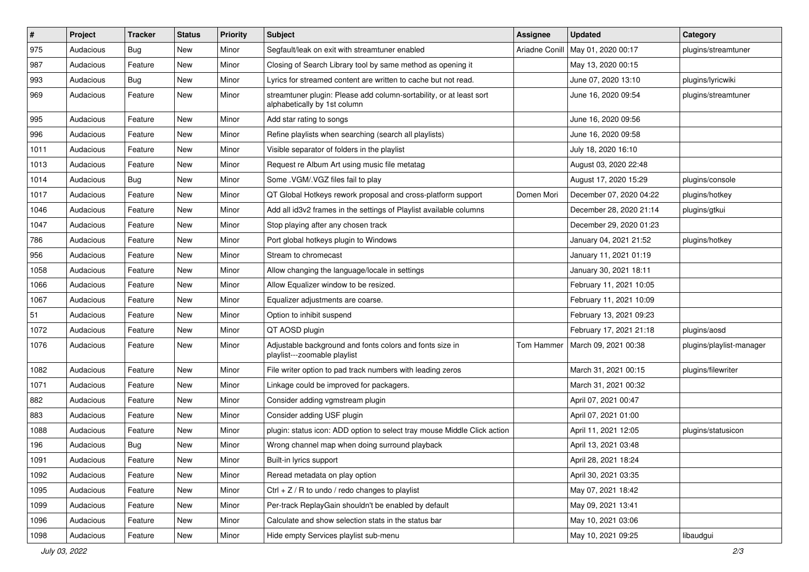| $\vert$ # | Project   | <b>Tracker</b> | <b>Status</b> | <b>Priority</b> | <b>Subject</b>                                                                                      | <b>Assignee</b> | <b>Updated</b>          | Category                 |
|-----------|-----------|----------------|---------------|-----------------|-----------------------------------------------------------------------------------------------------|-----------------|-------------------------|--------------------------|
| 975       | Audacious | <b>Bug</b>     | New           | Minor           | Segfault/leak on exit with streamtuner enabled                                                      | Ariadne Conill  | May 01, 2020 00:17      | plugins/streamtuner      |
| 987       | Audacious | Feature        | New           | Minor           | Closing of Search Library tool by same method as opening it                                         |                 | May 13, 2020 00:15      |                          |
| 993       | Audacious | Bug            | New           | Minor           | Lyrics for streamed content are written to cache but not read.                                      |                 | June 07, 2020 13:10     | plugins/lyricwiki        |
| 969       | Audacious | Feature        | New           | Minor           | streamtuner plugin: Please add column-sortability, or at least sort<br>alphabetically by 1st column |                 | June 16, 2020 09:54     | plugins/streamtuner      |
| 995       | Audacious | Feature        | New           | Minor           | Add star rating to songs                                                                            |                 | June 16, 2020 09:56     |                          |
| 996       | Audacious | Feature        | New           | Minor           | Refine playlists when searching (search all playlists)                                              |                 | June 16, 2020 09:58     |                          |
| 1011      | Audacious | Feature        | New           | Minor           | Visible separator of folders in the playlist                                                        |                 | July 18, 2020 16:10     |                          |
| 1013      | Audacious | Feature        | New           | Minor           | Request re Album Art using music file metatag                                                       |                 | August 03, 2020 22:48   |                          |
| 1014      | Audacious | <b>Bug</b>     | New           | Minor           | Some .VGM/.VGZ files fail to play                                                                   |                 | August 17, 2020 15:29   | plugins/console          |
| 1017      | Audacious | Feature        | New           | Minor           | QT Global Hotkeys rework proposal and cross-platform support                                        | Domen Mori      | December 07, 2020 04:22 | plugins/hotkey           |
| 1046      | Audacious | Feature        | New           | Minor           | Add all id3v2 frames in the settings of Playlist available columns                                  |                 | December 28, 2020 21:14 | plugins/gtkui            |
| 1047      | Audacious | Feature        | New           | Minor           | Stop playing after any chosen track                                                                 |                 | December 29, 2020 01:23 |                          |
| 786       | Audacious | Feature        | New           | Minor           | Port global hotkeys plugin to Windows                                                               |                 | January 04, 2021 21:52  | plugins/hotkey           |
| 956       | Audacious | Feature        | New           | Minor           | Stream to chromecast                                                                                |                 | January 11, 2021 01:19  |                          |
| 1058      | Audacious | Feature        | New           | Minor           | Allow changing the language/locale in settings                                                      |                 | January 30, 2021 18:11  |                          |
| 1066      | Audacious | Feature        | New           | Minor           | Allow Equalizer window to be resized.                                                               |                 | February 11, 2021 10:05 |                          |
| 1067      | Audacious | Feature        | New           | Minor           | Equalizer adjustments are coarse.                                                                   |                 | February 11, 2021 10:09 |                          |
| 51        | Audacious | Feature        | New           | Minor           | Option to inhibit suspend                                                                           |                 | February 13, 2021 09:23 |                          |
| 1072      | Audacious | Feature        | New           | Minor           | QT AOSD plugin                                                                                      |                 | February 17, 2021 21:18 | plugins/aosd             |
| 1076      | Audacious | Feature        | New           | Minor           | Adjustable background and fonts colors and fonts size in<br>playlist---zoomable playlist            | Tom Hammer      | March 09, 2021 00:38    | plugins/playlist-manager |
| 1082      | Audacious | Feature        | New           | Minor           | File writer option to pad track numbers with leading zeros                                          |                 | March 31, 2021 00:15    | plugins/filewriter       |
| 1071      | Audacious | Feature        | New           | Minor           | Linkage could be improved for packagers.                                                            |                 | March 31, 2021 00:32    |                          |
| 882       | Audacious | Feature        | New           | Minor           | Consider adding vgmstream plugin                                                                    |                 | April 07, 2021 00:47    |                          |
| 883       | Audacious | Feature        | New           | Minor           | Consider adding USF plugin                                                                          |                 | April 07, 2021 01:00    |                          |
| 1088      | Audacious | Feature        | New           | Minor           | plugin: status icon: ADD option to select tray mouse Middle Click action                            |                 | April 11, 2021 12:05    | plugins/statusicon       |
| 196       | Audacious | <b>Bug</b>     | New           | Minor           | Wrong channel map when doing surround playback                                                      |                 | April 13, 2021 03:48    |                          |
| 1091      | Audacious | Feature        | New           | Minor           | Built-in lyrics support                                                                             |                 | April 28, 2021 18:24    |                          |
| 1092      | Audacious | Feature        | New           | Minor           | Reread metadata on play option                                                                      |                 | April 30, 2021 03:35    |                          |
| 1095      | Audacious | Feature        | New           | Minor           | Ctrl + $Z$ / R to undo / redo changes to playlist                                                   |                 | May 07, 2021 18:42      |                          |
| 1099      | Audacious | Feature        | New           | Minor           | Per-track ReplayGain shouldn't be enabled by default                                                |                 | May 09, 2021 13:41      |                          |
| 1096      | Audacious | Feature        | New           | Minor           | Calculate and show selection stats in the status bar                                                |                 | May 10, 2021 03:06      |                          |
| 1098      | Audacious | Feature        | New           | Minor           | Hide empty Services playlist sub-menu                                                               |                 | May 10, 2021 09:25      | libaudgui                |